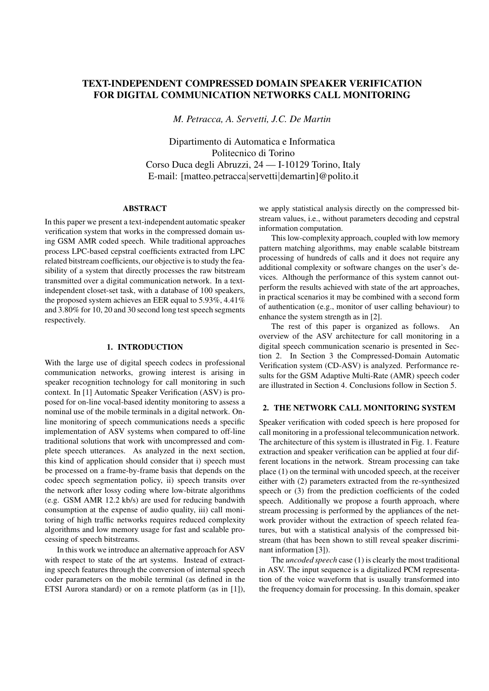# **TEXT-INDEPENDENT COMPRESSED DOMAIN SPEAKER VERIFICATION FOR DIGITAL COMMUNICATION NETWORKS CALL MONITORING**

*M. Petracca, A. Servetti, J.C. De Martin*

Dipartimento di Automatica e Informatica Politecnico di Torino Corso Duca degli Abruzzi, 24 — I-10129 Torino, Italy E-mail: [matteo.petracca|servetti|demartin]@polito.it

## **ABSTRACT**

In this paper we present a text-independent automatic speaker verification system that works in the compressed domain using GSM AMR coded speech. While traditional approaches process LPC-based cepstral coefficients extracted from LPC related bitstream coefficients, our objective is to study the feasibility of a system that directly processes the raw bitstream transmitted over a digital communication network. In a textindependent closet-set task, with a database of 100 speakers, the proposed system achieves an EER equal to 5.93%, 4.41% and 3.80% for 10, 20 and 30 second long test speech segments respectively.

## **1. INTRODUCTION**

With the large use of digital speech codecs in professional communication networks, growing interest is arising in speaker recognition technology for call monitoring in such context. In [1] Automatic Speaker Verification (ASV) is proposed for on-line vocal-based identity monitoring to assess a nominal use of the mobile terminals in a digital network. Online monitoring of speech communications needs a specific implementation of ASV systems when compared to off-line traditional solutions that work with uncompressed and complete speech utterances. As analyzed in the next section, this kind of application should consider that i) speech must be processed on a frame-by-frame basis that depends on the codec speech segmentation policy, ii) speech transits over the network after lossy coding where low-bitrate algorithms (e.g. GSM AMR 12.2 kb/s) are used for reducing bandwith consumption at the expense of audio quality, iii) call monitoring of high traffic networks requires reduced complexity algorithms and low memory usage for fast and scalable processing of speech bitstreams.

In this work we introduce an alternative approach for ASV with respect to state of the art systems. Instead of extracting speech features through the conversion of internal speech coder parameters on the mobile terminal (as defined in the ETSI Aurora standard) or on a remote platform (as in [1]),

we apply statistical analysis directly on the compressed bitstream values, i.e., without parameters decoding and cepstral information computation.

This low-complexity approach, coupled with low memory pattern matching algorithms, may enable scalable bitstream processing of hundreds of calls and it does not require any additional complexity or software changes on the user's devices. Although the performance of this system cannot outperform the results achieved with state of the art approaches, in practical scenarios it may be combined with a second form of authentication (e.g., monitor of user calling behaviour) to enhance the system strength as in [2].

The rest of this paper is organized as follows. An overview of the ASV architecture for call monitoring in a digital speech communication scenario is presented in Section 2. In Section 3 the Compressed-Domain Automatic Verification system (CD-ASV) is analyzed. Performance results for the GSM Adaptive Multi-Rate (AMR) speech coder are illustrated in Section 4. Conclusions follow in Section 5.

## **2. THE NETWORK CALL MONITORING SYSTEM**

Speaker verification with coded speech is here proposed for call monitoring in a professional telecommunication network. The architecture of this system is illustrated in Fig. 1. Feature extraction and speaker verification can be applied at four different locations in the network. Stream processing can take place (1) on the terminal with uncoded speech, at the receiver either with (2) parameters extracted from the re-synthesized speech or (3) from the prediction coefficients of the coded speech. Additionally we propose a fourth approach, where stream processing is performed by the appliances of the network provider without the extraction of speech related features, but with a statistical analysis of the compressed bitstream (that has been shown to still reveal speaker discriminant information [3]).

The *uncoded speech* case (1) is clearly the most traditional in ASV. The input sequence is a digitalized PCM representation of the voice waveform that is usually transformed into the frequency domain for processing. In this domain, speaker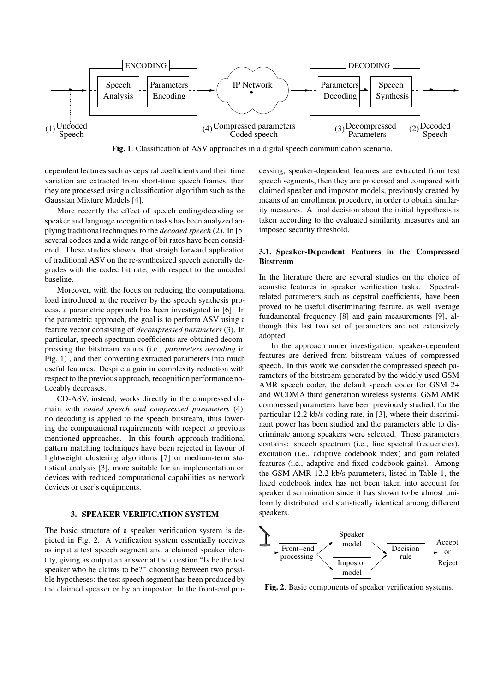

**Fig. 1**. Classification of ASV approaches in a digital speech communication scenario.

dependent features such as cepstral coefficients and their time variation are extracted from short-time speech frames, then they are processed using a classification algorithm such as the Gaussian Mixture Models [4].

More recently the effect of speech coding/decoding on speaker and language recognition tasks has been analyzed applying traditional techniques to the *decoded speech* (2). In [5] several codecs and a wide range of bit rates have been considered. These studies showed that straightforward application of traditional ASV on the re-synthesized speech generally degrades with the codec bit rate, with respect to the uncoded baseline.

Moreover, with the focus on reducing the computational load introduced at the receiver by the speech synthesis process, a parametric approach has been investigated in [6]. In the parametric approach, the goal is to perform ASV using a feature vector consisting of *decompressed parameters* (3). In particular, speech spectrum coefficients are obtained decompressing the bitstream values (i.e., *parameters decoding* in Fig. 1) , and then converting extracted parameters into much useful features. Despite a gain in complexity reduction with respect to the previous approach, recognition performance noticeably decreases.

CD-ASV, instead, works directly in the compressed domain with *coded speech and compressed parameters* (4), no decoding is applied to the speech bitstream, thus lowering the computational requirements with respect to previous mentioned approaches. In this fourth approach traditional pattern matching techniques have been rejected in favour of lightweight clustering algorithms [7] or medium-term statistical analysis [3], more suitable for an implementation on devices with reduced computational capabilities as network devices or user's equipments.

### **3. SPEAKER VERIFICATION SYSTEM**

The basic structure of a speaker verification system is depicted in Fig. 2. A verification system essentially receives as input a test speech segment and a claimed speaker identity, giving as output an answer at the question "Is he the test speaker who he claims to be?" choosing between two possible hypotheses: the test speech segment has been produced by the claimed speaker or by an impostor. In the front-end processing, speaker-dependent features are extracted from test speech segments, then they are processed and compared with claimed speaker and impostor models, previously created by means of an enrollment procedure, in order to obtain similarity measures. A final decision about the initial hypothesis is taken according to the evaluated similarity measures and an imposed security threshold.

## **3.1. Speaker-Dependent Features in the Compressed Bitstream**

In the literature there are several studies on the choice of acoustic features in speaker verification tasks. Spectralrelated parameters such as cepstral coefficients, have been proved to be useful discriminating feature, as well average fundamental frequency [8] and gain measurements [9], although this last two set of parameters are not extensively adopted.

In the approach under investigation, speaker-dependent features are derived from bitstream values of compressed speech. In this work we consider the compressed speech parameters of the bitstream generated by the widely used GSM AMR speech coder, the default speech coder for GSM 2+ and WCDMA third generation wireless systems. GSM AMR compressed parameters have been previously studied, for the particular 12.2 kb/s coding rate, in [3], where their discriminant power has been studied and the parameters able to discriminate among speakers were selected. These parameters contains: speech spectrum (i.e., line spectral frequencies), excitation (i.e., adaptive codebook index) and gain related features (i.e., adaptive and fixed codebook gains). Among the GSM AMR 12.2 kb/s parameters, listed in Table 1, the fixed codebook index has not been taken into account for speaker discrimination since it has shown to be almost uniformly distributed and statistically identical among different speakers.



**Fig. 2**. Basic components of speaker verification systems.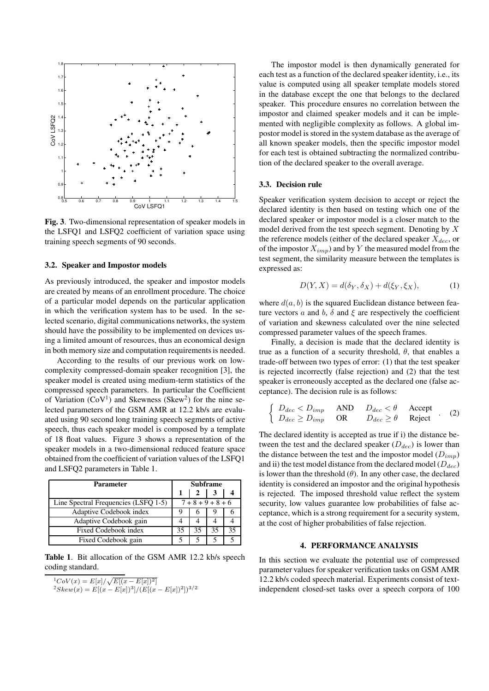

**Fig. 3**. Two-dimensional representation of speaker models in the LSFQ1 and LSFQ2 coefficient of variation space using training speech segments of 90 seconds.

## **3.2. Speaker and Impostor models**

As previously introduced, the speaker and impostor models are created by means of an enrollment procedure. The choice of a particular model depends on the particular application in which the verification system has to be used. In the selected scenario, digital communications networks, the system should have the possibility to be implemented on devices using a limited amount of resources, thus an economical design in both memory size and computation requirements is needed.

According to the results of our previous work on lowcomplexity compressed-domain speaker recognition [3], the speaker model is created using medium-term statistics of the compressed speech parameters. In particular the Coefficient of Variation  $(CoV<sup>1</sup>)$  and Skewness (Skew<sup>2</sup>) for the nine selected parameters of the GSM AMR at 12.2 kb/s are evaluated using 90 second long training speech segments of active speech, thus each speaker model is composed by a template of 18 float values. Figure 3 shows a representation of the speaker models in a two-dimensional reduced feature space obtained from the coefficient of variation values of the LSFQ1 and LSFQ2 parameters in Table 1.

| <b>Parameter</b>                     | <b>Subframe</b> |    |    |    |
|--------------------------------------|-----------------|----|----|----|
|                                      |                 | 2  |    |    |
| Line Spectral Frequencies (LSFQ 1-5) | $7+8+9+8+6$     |    |    |    |
| Adaptive Codebook index              |                 |    |    |    |
| Adaptive Codebook gain               |                 |    |    |    |
| Fixed Codebook index                 | 35              | 35 | 35 | 35 |
| Fixed Codebook gain                  |                 |    |    |    |

**Table 1**. Bit allocation of the GSM AMR 12.2 kb/s speech coding standard.

$$
{}^{1}CoV(x) = E[x]/\sqrt{E[(x - E[x])^{2}]}
$$
  

$$
{}^{2}Skew(x) = E[(x - E[x])^{3}]/(E[(x - E[x])^{2}])^{3/2}
$$

The impostor model is then dynamically generated for each test as a function of the declared speaker identity, i.e., its value is computed using all speaker template models stored in the database except the one that belongs to the declared speaker. This procedure ensures no correlation between the impostor and claimed speaker models and it can be implemented with negligible complexity as follows. A global impostor model is stored in the system database as the average of all known speaker models, then the specific impostor model for each test is obtained subtracting the normalized contribution of the declared speaker to the overall average.

## **3.3. Decision rule**

Speaker verification system decision to accept or reject the declared identity is then based on testing which one of the declared speaker or impostor model is a closer match to the model derived from the test speech segment. Denoting by  $X$ the reference models (either of the declared speaker  $X_{dec}$ , or of the impostor  $X_{imp}$ ) and by Y the measured model from the test segment, the similarity measure between the templates is expressed as:

$$
D(Y, X) = d(\delta_Y, \delta_X) + d(\xi_Y, \xi_X), \tag{1}
$$

where  $d(a, b)$  is the squared Euclidean distance between feature vectors a and b,  $\delta$  and  $\xi$  are respectively the coefficient of variation and skewness calculated over the nine selected compressed parameter values of the speech frames.

Finally, a decision is made that the declared identity is true as a function of a security threshold,  $\theta$ , that enables a trade-off between two types of error: (1) that the test speaker is rejected incorrectly (false rejection) and (2) that the test speaker is erroneously accepted as the declared one (false acceptance). The decision rule is as follows:

$$
\begin{cases}\nD_{dec} < D_{imp} \quad \text{AND} \quad D_{dec} < \theta \quad \text{Accept} \\
D_{dec} \ge D_{imp} \quad \text{OR} \quad D_{dec} \ge \theta \quad \text{Reject}\n\end{cases} . \tag{2}
$$

The declared identity is accepted as true if i) the distance between the test and the declared speaker  $(D_{dec})$  is lower than the distance between the test and the impostor model  $(D_{imp})$ and ii) the test model distance from the declared model ( $D_{dec}$ ) is lower than the threshold  $(\theta)$ . In any other case, the declared identity is considered an impostor and the original hypothesis is rejected. The imposed threshold value reflect the system security, low values guarantee low probabilities of false acceptance, which is a strong requirement for a security system, at the cost of higher probabilities of false rejection.

### **4. PERFORMANCE ANALYSIS**

In this section we evaluate the potential use of compressed parameter values for speaker verification tasks on GSM AMR 12.2 kb/s coded speech material. Experiments consist of textindependent closed-set tasks over a speech corpora of 100